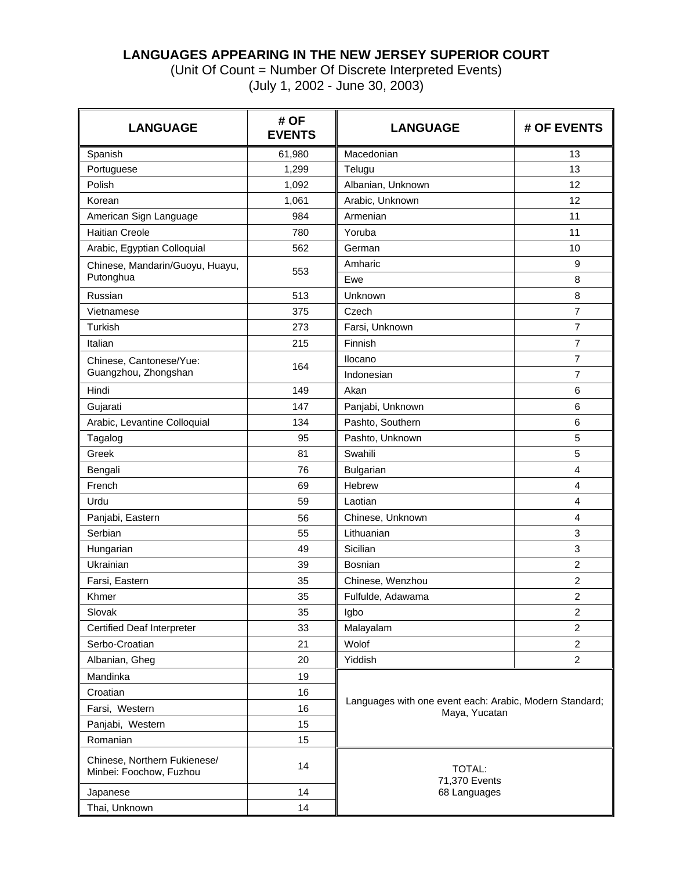## **LANGUAGES APPEARING IN THE NEW JERSEY SUPERIOR COURT**

(Unit Of Count = Number Of Discrete Interpreted Events) (July 1, 2002 - June 30, 2003)

| <b>LANGUAGE</b>                                         | # OF<br><b>EVENTS</b> | <b>LANGUAGE</b>                                                          | # OF EVENTS    |
|---------------------------------------------------------|-----------------------|--------------------------------------------------------------------------|----------------|
| Spanish                                                 | 61,980                | Macedonian                                                               | 13             |
| Portuguese                                              | 1,299                 | Telugu                                                                   | 13             |
| Polish                                                  | 1,092                 | Albanian, Unknown                                                        | 12             |
| Korean                                                  | 1,061                 | Arabic, Unknown                                                          | 12             |
| American Sign Language                                  | 984                   | Armenian                                                                 | 11             |
| <b>Haitian Creole</b>                                   | 780                   | Yoruba                                                                   | 11             |
| Arabic, Egyptian Colloquial                             | 562                   | German                                                                   | 10             |
| Chinese, Mandarin/Guoyu, Huayu,<br>Putonghua            | 553                   | Amharic<br>Ewe                                                           | 9<br>8         |
| Russian                                                 | 513                   | Unknown                                                                  | 8              |
| Vietnamese                                              | 375                   | Czech                                                                    | 7              |
| Turkish                                                 | 273                   | Farsi, Unknown                                                           | $\overline{7}$ |
| Italian                                                 | 215                   | Finnish                                                                  | $\overline{7}$ |
|                                                         |                       | Ilocano                                                                  | 7              |
| Chinese, Cantonese/Yue:<br>Guangzhou, Zhongshan         | 164                   | Indonesian                                                               | $\overline{7}$ |
| Hindi                                                   | 149                   | Akan                                                                     | 6              |
| Gujarati                                                | 147                   | Panjabi, Unknown                                                         | 6              |
| Arabic, Levantine Colloquial                            | 134                   | Pashto, Southern                                                         | 6              |
| Tagalog                                                 | 95                    | Pashto, Unknown                                                          | 5              |
| Greek                                                   | 81                    | Swahili                                                                  | 5              |
| Bengali                                                 | 76                    | Bulgarian                                                                | 4              |
| French                                                  | 69                    | Hebrew                                                                   | 4              |
| Urdu                                                    | 59                    | Laotian                                                                  | 4              |
| Panjabi, Eastern                                        | 56                    | Chinese, Unknown                                                         | 4              |
| Serbian                                                 | 55                    | Lithuanian                                                               | 3              |
| Hungarian                                               | 49                    | Sicilian                                                                 | 3              |
| Ukrainian                                               | 39                    | Bosnian                                                                  | $\overline{c}$ |
| Farsi, Eastern                                          | 35                    | Chinese, Wenzhou                                                         | 2              |
| Khmer                                                   | 35                    | Fulfulde, Adawama                                                        | $\overline{c}$ |
| Slovak                                                  | 35                    | Igbo                                                                     | $\overline{2}$ |
| <b>Certified Deaf Interpreter</b>                       | 33                    | Malayalam                                                                | 2              |
| Serbo-Croatian                                          | 21                    | Wolof                                                                    | $\overline{2}$ |
| Albanian, Gheg                                          | 20                    | Yiddish                                                                  | $\overline{2}$ |
| Mandinka                                                | 19                    |                                                                          |                |
| Croatian                                                | 16                    |                                                                          |                |
| Farsi, Western                                          | 16                    | Languages with one event each: Arabic, Modern Standard;<br>Maya, Yucatan |                |
| Panjabi, Western                                        | 15                    |                                                                          |                |
| Romanian                                                | 15                    |                                                                          |                |
| Chinese, Northern Fukienese/<br>Minbei: Foochow, Fuzhou | 14                    | <b>TOTAL:</b><br>71,370 Events                                           |                |
| Japanese                                                | 14                    | 68 Languages                                                             |                |
| Thai, Unknown                                           | 14                    |                                                                          |                |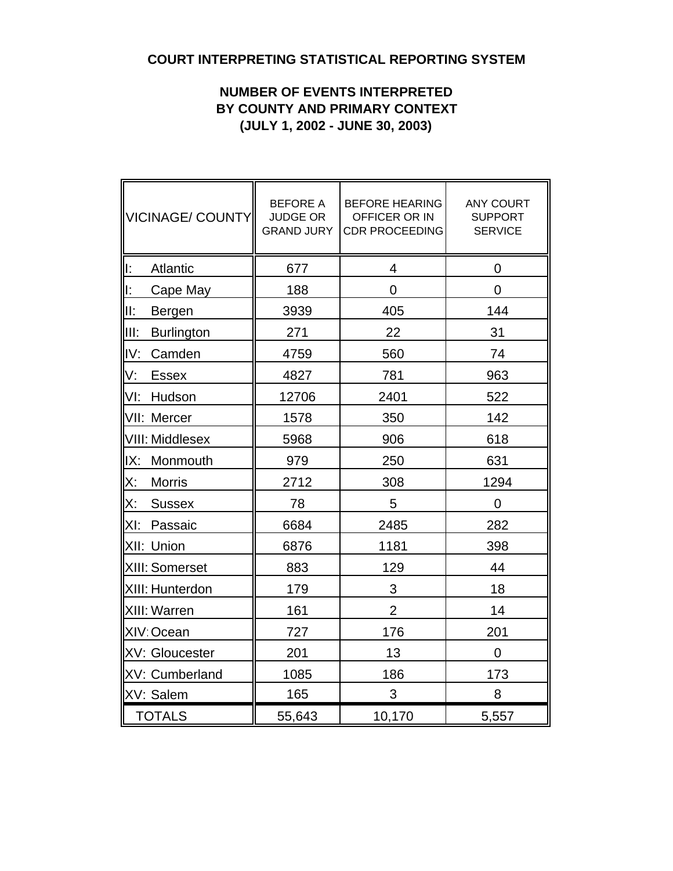# **COURT INTERPRETING STATISTICAL REPORTING SYSTEM**

# **NUMBER OF EVENTS INTERPRETED BY COUNTY AND PRIMARY CONTEXT (JULY 1, 2002 - JUNE 30, 2003)**

| VICINAGE/ COUNTY           | <b>BEFORE A</b><br><b>JUDGE OR</b><br><b>GRAND JURY</b> | <b>BEFORE HEARING</b><br>OFFICER OR IN<br><b>CDR PROCEEDING</b> | <b>ANY COURT</b><br><b>SUPPORT</b><br><b>SERVICE</b> |  |  |  |  |
|----------------------------|---------------------------------------------------------|-----------------------------------------------------------------|------------------------------------------------------|--|--|--|--|
| lı:<br>Atlantic            | 677                                                     | 4                                                               | 0                                                    |  |  |  |  |
| lE.<br>Cape May            | 188                                                     | 0                                                               | 0                                                    |  |  |  |  |
| III:<br>Bergen             | 3939                                                    | 405                                                             | 144                                                  |  |  |  |  |
| IIII:<br><b>Burlington</b> | 271                                                     | 22                                                              | 31                                                   |  |  |  |  |
| IV:<br>Camden              | 4759                                                    | 560                                                             | 74                                                   |  |  |  |  |
| V:<br><b>Essex</b>         | 4827                                                    | 781                                                             | 963                                                  |  |  |  |  |
| VI:<br>Hudson              | 12706                                                   | 2401                                                            | 522                                                  |  |  |  |  |
| VII: Mercer                | 1578                                                    | 350                                                             | 142                                                  |  |  |  |  |
| <b>VIII: Middlesex</b>     | 5968                                                    | 906                                                             | 618                                                  |  |  |  |  |
| IX:<br>Monmouth            | 979                                                     | 250                                                             | 631                                                  |  |  |  |  |
| X:<br><b>Morris</b>        | 2712                                                    | 308                                                             | 1294                                                 |  |  |  |  |
| X:<br><b>Sussex</b>        | 78                                                      | 5                                                               | $\overline{0}$                                       |  |  |  |  |
| XI:<br>Passaic             | 6684                                                    | 2485                                                            | 282                                                  |  |  |  |  |
| XII: Union                 | 6876                                                    | 1181                                                            | 398                                                  |  |  |  |  |
| XIII: Somerset             | 883                                                     | 129                                                             | 44                                                   |  |  |  |  |
| XIII: Hunterdon            | 179                                                     | 3                                                               | 18                                                   |  |  |  |  |
| XIII: Warren               | 161                                                     | $\overline{2}$                                                  | 14                                                   |  |  |  |  |
| XIV: Ocean                 | 727                                                     | 176                                                             | 201                                                  |  |  |  |  |
| XV: Gloucester             | 201                                                     | 13                                                              | $\mathbf 0$                                          |  |  |  |  |
| XV: Cumberland             | 1085                                                    | 186                                                             | 173                                                  |  |  |  |  |
| XV: Salem                  | 165                                                     | 3                                                               | 8                                                    |  |  |  |  |
| TOTALS                     | 55,643                                                  | 10,170                                                          | 5,557                                                |  |  |  |  |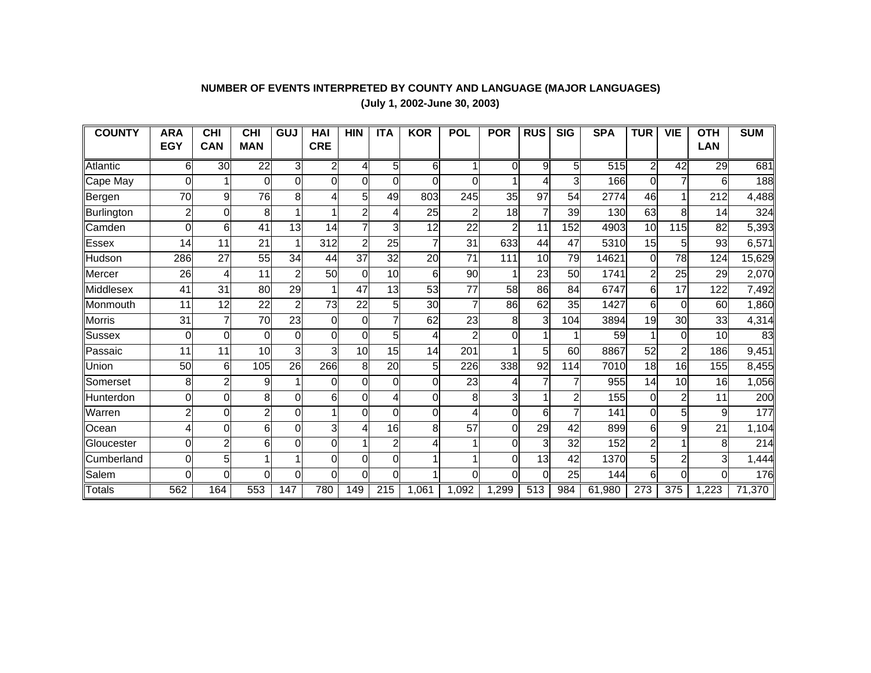### **NUMBER OF EVENTS INTERPRETED BY COUNTY AND LANGUAGE (MAJOR LANGUAGES) (July 1, 2002-June 30, 2003)**

| <b>COUNTY</b> | <b>ARA</b> | <b>CHI</b>     | <b>CHI</b>     | <b>GUJ</b> | HAI        | <b>HIN</b>     | <b>ITA</b>     | <b>KOR</b>     | <b>POL</b>     | <b>POR</b> | <b>RUS</b> | <b>SIG</b> | <b>SPA</b> | <b>TUR</b>     | <b>VIE</b>     | <b>OTH</b> | <b>SUM</b> |
|---------------|------------|----------------|----------------|------------|------------|----------------|----------------|----------------|----------------|------------|------------|------------|------------|----------------|----------------|------------|------------|
|               | <b>EGY</b> | <b>CAN</b>     | <b>MAN</b>     |            | <b>CRE</b> |                |                |                |                |            |            |            |            |                |                | <b>LAN</b> |            |
| Atlantic      | 6          | 30             | 22             | 3          | 2          | 4              | 5              | 6              | 1              | 0          | 9          | 5          | 515        | $\overline{2}$ | 42             | 29         | 681        |
| Cape May      | $\Omega$   |                | 0              | 0          | 0          | $\Omega$       | 0              | ΩI             | 0              |            | 4          | 3          | 166        | 0              | 7              | 6          | 188        |
| Bergen        | 70         | 9              | 76             | 8          |            | 5              | 49             | 803            | 245            | 35         | 97         | 54         | 2774       | 46             |                | 212        | 4,488      |
| Burlington    | 2          | 0              | 8              |            |            | $\overline{2}$ | 4              | 25             | 2              | 18         |            | 39         | 130        | 63             | 8              | 14         | 324        |
| Camden        | 0          | 6              | 41             | 13         | 14         | 7              | 3              | 12             | 22             | 2          | 11         | 152        | 4903       | 10             | 115            | 82         | 5,393      |
| Essex         | 14         | 11             | 21             |            | 312        | $\overline{2}$ | 25             | 7              | 31             | 633        | 44         | 47         | 5310       | 15             | 5              | 93         | 6,571      |
| Hudson        | 286        | 27             | 55             | 34         | 44         | 37             | 32             | 20             | 71             | 111        | 10         | 79         | 14621      | $\Omega$       | 78             | 124        | 15,629     |
| Mercer        | 26         | 4              | 11             | 2          | 50         | $\Omega$       | 10             | 6              | 90             |            | 23         | 50         | 1741       | $\overline{2}$ | 25             | 29         | 2,070      |
| Middlesex     | 41         | 31             | 80             | 29         |            | 47             | 13             | 53             | 77             | 58         | 86         | 84         | 6747       | 6              | 17             | 122        | 7,492      |
| Monmouth      | 11         | 12             | 22             | 2          | 73         | 22             | 5              | 30             | 7              | 86         | 62         | 35         | 1427       | 6              | 0              | 60         | 1,860      |
| Morris        | 31         | 7              | 70             | 23         | $\Omega$   | $\Omega$       | $\overline{7}$ | 62             | 23             | 8          | 3          | 104        | 3894       | 19             | 30             | 33         | 4,314      |
| <b>Sussex</b> | $\Omega$   | 0              | $\Omega$       | 0          | 0          | $\Omega$       | 5              |                | $\overline{c}$ | 0          |            |            | 59         |                | 0              | 10         | 83         |
| Passaic       | 11         | 11             | 10             | 3          | 3          | 10             | 15             | 14             | 201            |            | 5          | 60         | 8867       | 52             | $\overline{c}$ | 186        | 9,451      |
| Union         | 50         | 6              | 105            | 26         | 266        | 8              | 20             | 5 <sup>1</sup> | 226            | 338        | 92         | 114        | 7010       | 18             | 16             | 155        | 8,455      |
| Somerset      | 8          | $\overline{2}$ | 9              |            |            | 0              | $\Omega$       | ΩI             | 23             | 4          |            |            | 955        | 14             | 10             | 16         | 1,056      |
| Hunterdon     | 0          | 0              | 8              | ი          | 6          | 0              | 4              | 0l             | 8              | 3          |            | 2          | 155        | 0              | $\overline{2}$ | 11         | 200        |
| Warren        | 2          | 0              | $\overline{2}$ | O          |            | $\Omega$       | 0              | $\Omega$       | 4              | 0          | 6          |            | 141        | 0              | 5              | 9          | 177        |
| Ocean         | 4          | 0              | 6              | 0          | 3          | 4              | 16             | 8              | 57             | 0          | 29         | 42         | 899        | 6              | 9              | 21         | 1,104      |
| Gloucester    | $\Omega$   | $\overline{2}$ | 6              | 0          | $\Omega$   |                | $\overline{2}$ |                | 1              | 0          | 3          | 32         | 152        | $\overline{2}$ | 1              | 8          | 214        |
| Cumberland    | $\Omega$   | 5              |                |            | 0          | 0              | 0              |                | 1              | 0          | 13         | 42         | 1370       | 5              | $\overline{c}$ | 3          | 1,444      |
| Salem         | $\Omega$   | 0              | $\Omega$       | 0          | 0l         | $\Omega$       | $\mathbf 0$    |                | $\Omega$       | 0          | $\Omega$   | 25         | 144        | 6              | 0              | 0          | 176        |
| Totals        | 562        | 164            | 553            | 147        | 780        | 149            | 215            | 1.061          | 1,092          | ,299       | 513        | 984        | 61,980     | 273            | 375            | 1,223      | 71,370     |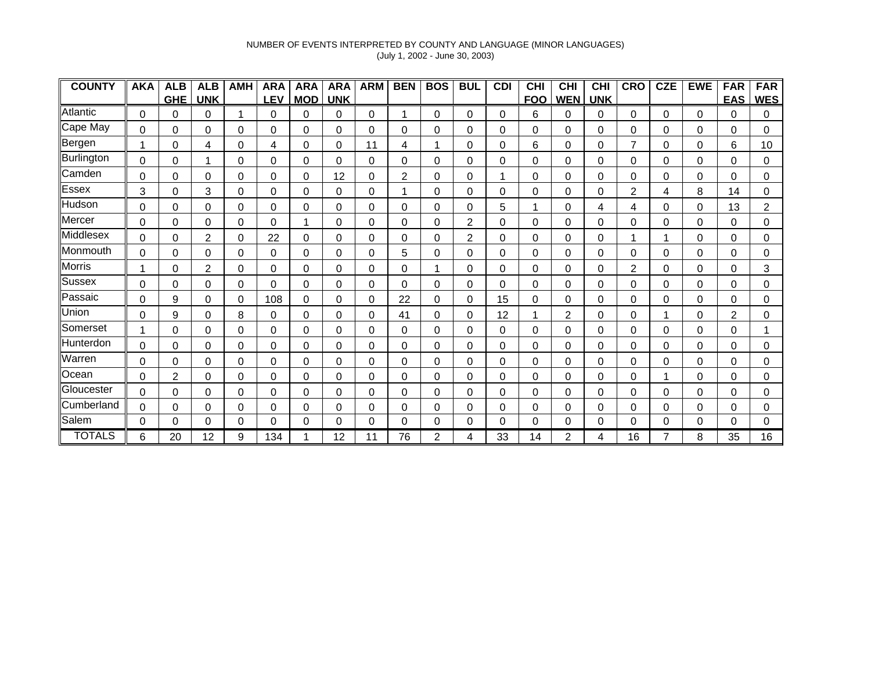### NUMBER OF EVENTS INTERPRETED BY COUNTY AND LANGUAGE (MINOR LANGUAGES) (July 1, 2002 - June 30, 2003)

| <b>COUNTY</b> | <b>AKA</b> | <b>ALB</b> | <b>ALB</b> | <b>AMH</b> | <b>ARA</b> | <b>ARA</b> | <b>ARA</b> | <b>ARM</b>  | <b>BEN</b> | <b>BOS</b> | <b>BUL</b>  | <b>CDI</b> | <b>CHI</b> | <b>CHI</b>     | $\overline{CHI}$ | <b>CRO</b>     | <b>CZE</b> | <b>EWE</b> | <b>FAR</b> | <b>FAR</b> |
|---------------|------------|------------|------------|------------|------------|------------|------------|-------------|------------|------------|-------------|------------|------------|----------------|------------------|----------------|------------|------------|------------|------------|
|               |            | <b>GHE</b> | <b>UNK</b> |            | <b>LEV</b> | <b>MOD</b> | <b>UNK</b> |             |            |            |             |            | <b>FOO</b> | <b>WEN</b>     | <b>UNK</b>       |                |            |            | <b>EAS</b> | <b>WES</b> |
| Atlantic      | 0          | 0          | 0          |            | 0          | 0          | 0          | 0           | 1          | 0          | 0           | 0          | 6          | 0              | 0                | 0              | 0          | 0          | 0          | 0          |
| Cape May      | 0          | 0          | 0          | 0          | 0          | 0          | 0          | 0           | 0          | 0          | 0           | 0          | 0          | 0              | 0                | 0              | 0          | 0          | 0          | 0          |
| Bergen        | 1          | 0          | 4          | $\Omega$   | 4          | 0          | 0          | 11          | 4          |            | 0           | $\Omega$   | 6          | 0              | 0                | $\overline{7}$ | $\Omega$   | 0          | 6          | 10         |
| Burlington    | $\Omega$   | 0          |            | $\Omega$   | 0          | 0          | 0          | 0           | 0          | 0          | 0           | $\Omega$   | 0          | 0              | 0                | 0              | 0          | 0          | 0          | 0          |
| Camden        | 0          | 0          | $\Omega$   | 0          | 0          | 0          | 12         | 0           | 2          | 0          | 0           |            | 0          | 0              | 0                | 0              | 0          | 0          | 0          | 0          |
| Essex         | 3          | 0          | 3          | 0          | 0          | 0          | 0          | 0           | 1          | 0          | 0           | 0          | 0          | 0              | 0                | 2              | 4          | 8          | 14         | 0          |
| Hudson        | 0          | 0          | $\Omega$   | 0          | 0          | 0          | 0          | 0           | 0          | 0          | 0           | 5          |            | 0              | 4                | 4              | 0          | 0          | 13         | 2          |
| Mercer        | 0          | 0          | 0          | 0          | 0          |            | 0          | 0           | 0          | 0          | 2           | 0          | 0          | 0              | 0                | 0              | 0          | 0          | 0          | 0          |
| Middlesex     | 0          | 0          | 2          | 0          | 22         | $\Omega$   | 0          | 0           | 0          | 0          | 2           | $\Omega$   | 0          | 0              | 0                |                | 1          | 0          | 0          | 0          |
| Monmouth      | 0          | 0          | 0          | 0          | 0          | 0          | 0          | 0           | 5          | 0          | 0           | 0          | 0          | 0              | 0                | 0              | 0          | 0          | 0          | 0          |
| Morris        |            | 0          | 2          | 0          | 0          | 0          | 0          | 0           | 0          |            | $\mathbf 0$ | 0          | 0          | 0              | 0                | $\overline{2}$ | 0          | 0          | 0          | 3          |
| Sussex        | 0          | 0          | 0          | 0          | 0          | 0          | 0          | 0           | 0          | 0          | 0           | 0          | 0          | 0              | 0                | 0              | 0          | 0          | 0          | 0          |
| Passaic       | 0          | 9          | 0          | 0          | 108        | 0          | 0          | 0           | 22         | 0          | 0           | 15         | 0          | 0              | 0                | 0              | 0          | 0          | 0          | 0          |
| Union         | 0          | 9          | 0          | 8          | 0          | 0          | 0          | $\mathbf 0$ | 41         | 0          | 0           | 12         |            | $\overline{2}$ | 0                | 0              | 1          | 0          | 2          | 0          |
| Somerset      | 1          | 0          | $\Omega$   | 0          | 0          | 0          | 0          | 0           | 0          | 0          | 0           | 0          | 0          | 0              | 0                | 0              | 0          | 0          | 0          |            |
| Hunterdon     | 0          | 0          | 0          | $\Omega$   | 0          | 0          | 0          | 0           | 0          | 0          | 0           | $\Omega$   | 0          | 0              | 0                | 0              | 0          | 0          | 0          | 0          |
| Warren        | 0          | 0          | 0          | $\Omega$   | 0          | 0          | 0          | 0           | 0          | 0          | 0           | 0          | 0          | 0              | 0                | $\Omega$       | 0          | 0          | 0          | 0          |
| Ocean         | 0          | 2          | 0          | 0          | 0          | 0          | 0          | 0           | 0          | 0          | 0           | 0          | 0          | 0              | 0                | 0              | 1          | 0          | 0          | 0          |
| Gloucester    | 0          | 0          | 0          | 0          | 0          | 0          | 0          | 0           | 0          | 0          | 0           | 0          | 0          | 0              | 0                | 0              | 0          | 0          | 0          | 0          |
| Cumberland    | 0          | 0          | 0          | 0          | 0          | 0          | 0          | 0           | 0          | 0          | 0           | 0          | 0          | 0              | 0                | 0              | 0          | 0          | 0          | 0          |
| Salem         | 0          | 0          | 0          | 0          | 0          | 0          | 0          | 0           | 0          | 0          | 0           | 0          | 0          | 0              | 0                | 0              | 0          | 0          | 0          | 0          |
| <b>TOTALS</b> | 6          | 20         | 12         | 9          | 34         |            | 12         | 11          | 76         | 2          | 4           | 33         | 14         | 2              | 4                | 16             | 7          | 8          | 35         | 16         |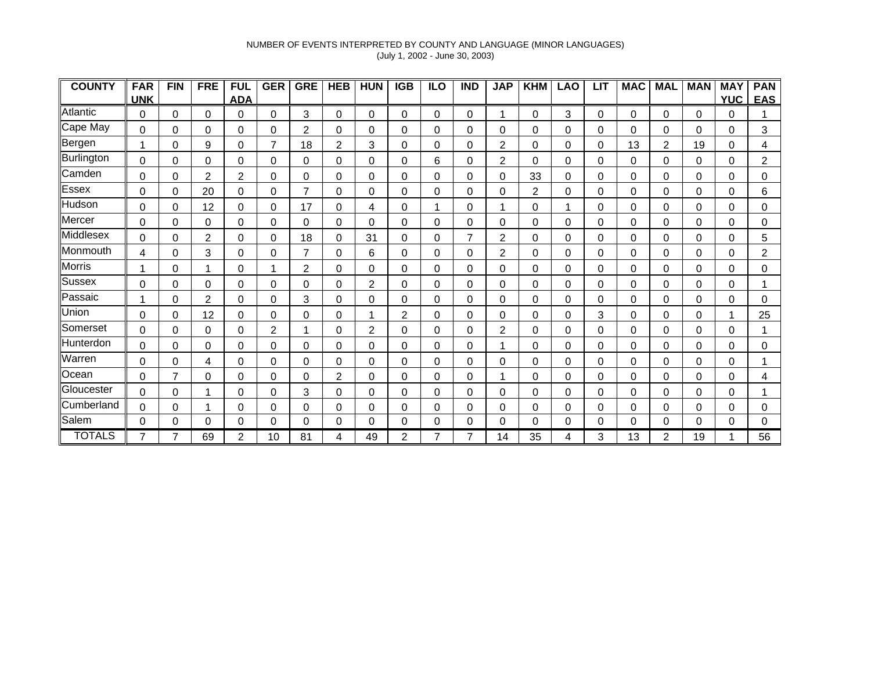### NUMBER OF EVENTS INTERPRETED BY COUNTY AND LANGUAGE (MINOR LANGUAGES) (July 1, 2002 - June 30, 2003)

| <b>COUNTY</b> | <b>FAR</b>  | <b>FIN</b>     | <b>FRE</b>     | <b>FUL</b>     | <b>GER</b>     | <b>GRE</b> | <b>HEB</b>     | <b>HUN</b>     | <b>IGB</b> | <b>ILO</b> | <b>IND</b>     | <b>JAP</b>     | <b>KHM</b>     | <b>LAO</b> | <b>LIT</b> | <b>MAC</b> | <b>MAL</b> | <b>MAN</b> | <b>MAY</b> | <b>PAN</b>     |
|---------------|-------------|----------------|----------------|----------------|----------------|------------|----------------|----------------|------------|------------|----------------|----------------|----------------|------------|------------|------------|------------|------------|------------|----------------|
|               | <b>UNK</b>  |                |                | <b>ADA</b>     |                |            |                |                |            |            |                |                |                |            |            |            |            |            | <b>YUC</b> | <b>EAS</b>     |
| Atlantic      | 0           | 0              | 0              | 0              | 0              | 3          | 0              | 0              | $\Omega$   | 0          | 0              |                | $\Omega$       | 3          | 0          | 0          | $\Omega$   | 0          | 0          |                |
| Cape May      | 0           | 0              | 0              | 0              | 0              | 2          | 0              | 0              | 0          | 0          | 0              | 0              | 0              | 0          | 0          | 0          | 0          | 0          | 0          | 3              |
| Bergen        |             | 0              | 9              | $\Omega$       | $\overline{7}$ | 18         | $\overline{2}$ | 3              | $\Omega$   | 0          | 0              | $\overline{2}$ | $\Omega$       | 0          | 0          | 13         | 2          | 19         | 0          | 4              |
| Burlington    | $\Omega$    | 0              | 0              | $\Omega$       | 0              | 0          | 0              | 0              | $\Omega$   | 6          | 0              | $\overline{2}$ | $\Omega$       | 0          | 0          | 0          | 0          | 0          | $\Omega$   | $\overline{2}$ |
| Camden        | $\Omega$    | 0              | $\overline{2}$ | $\overline{2}$ | 0              | 0          | 0              | 0              | 0          | 0          | 0              | 0              | 33             | 0          | 0          | 0          | 0          | $\Omega$   | 0          | 0              |
| Essex         | 0           | 0              | 20             | 0              | 0              | 7          | 0              | 0              | 0          | 0          | 0              | 0              | $\overline{2}$ | 0          | 0          | 0          | 0          | 0          | 0          | 6              |
| Hudson        | 0           | 0              | 12             | $\Omega$       | 0              | 17         | 0              | 4              | 0          |            | 0              |                | 0              | 1          | 0          | 0          | 0          | 0          | 0          | 0              |
| Mercer        | 0           | 0              | 0              | 0              | 0              | 0          | 0              | 0              | 0          | 0          | 0              | 0              | 0              | 0          | 0          | 0          | 0          | 0          | 0          | 0              |
| Middlesex     | 0           | 0              | 2              | 0              | 0              | 18         | 0              | 31             | $\Omega$   | 0          | $\overline{7}$ | 2              | 0              | 0          | 0          | 0          | 0          | 0          | 0          | 5              |
| Monmouth      | 4           | 0              | 3              | $\Omega$       | 0              | 7          | 0              | 6              | 0          | 0          | 0              | $\overline{2}$ | 0              | 0          | 0          | 0          | 0          | $\Omega$   | 0          | 2              |
| Morris        |             | 0              |                | $\Omega$       | 1              | 2          | 0              | $\mathbf 0$    | $\Omega$   | 0          | $\mathbf 0$    | 0              | 0              | $\Omega$   | 0          | 0          | $\Omega$   | 0          | 0          | 0              |
| Sussex        | $\Omega$    | 0              | 0              | $\Omega$       | 0              | 0          | 0              | $\overline{c}$ | $\Omega$   | 0          | 0              | 0              | 0              | 0          | 0          | 0          | 0          | 0          | 0          |                |
| Passaic       |             | 0              | 2              | 0              | 0              | 3          | 0              | 0              | 0          | 0          | 0              | 0              | 0              | 0          | 0          | 0          | 0          | 0          | 0          | 0              |
| Union         | 0           | 0              | 12             | 0              | 0              | 0          | 0              | 1              | 2          | 0          | 0              | 0              | 0              | 0          | 3          | 0          | 0          | 0          |            | 25             |
| Somerset      | 0           | 0              | 0              | 0              | $\overline{2}$ | 1          | 0              | $\overline{c}$ | 0          | 0          | 0              | 2              | 0              | 0          | 0          | 0          | 0          | 0          | 0          |                |
| llHunterdon   | 0           | 0              | 0              | 0              | 0              | 0          | 0              | 0              | 0          | 0          | 0              |                | 0              | 0          | 0          | 0          | 0          | 0          | 0          | 0              |
| Warren        | 0           | 0              | 4              | 0              | 0              | 0          | 0              | $\mathbf 0$    | 0          | 0          | 0              | 0              | 0              | 0          | 0          | 0          | 0          | 0          | $\Omega$   |                |
| Ocean         | $\mathbf 0$ | $\overline{7}$ | 0              | 0              | 0              | 0          | $\overline{2}$ | $\mathbf 0$    | 0          | 0          | $\mathbf 0$    |                | $\mathbf 0$    | 0          | 0          | 0          | 0          | 0          | 0          | 4              |
| Gloucester    | 0           | 0              |                | $\Omega$       | 0              | 3          | 0              | 0              | 0          | 0          | 0              | 0              | 0              | 0          | 0          | 0          | 0          | 0          | 0          |                |
| Cumberland    | 0           | 0              |                | 0              | 0              | 0          | 0              | 0              | 0          | 0          | 0              | 0              | 0              | 0          | 0          | 0          | 0          | 0          | 0          | 0              |
| Salem         | 0           | 0              | 0              | 0              | 0              | 0          | 0              | 0              | 0          | 0          | 0              | 0              | 0              | 0          | 0          | 0          | 0          | 0          | 0          | 0              |
| <b>TOTALS</b> |             |                | 69             | 2              | 10             | 81         | 4              | 49             | 2          |            |                | 14             | 35             | 4          | 3          | 13         | 2          | 19         |            | 56             |